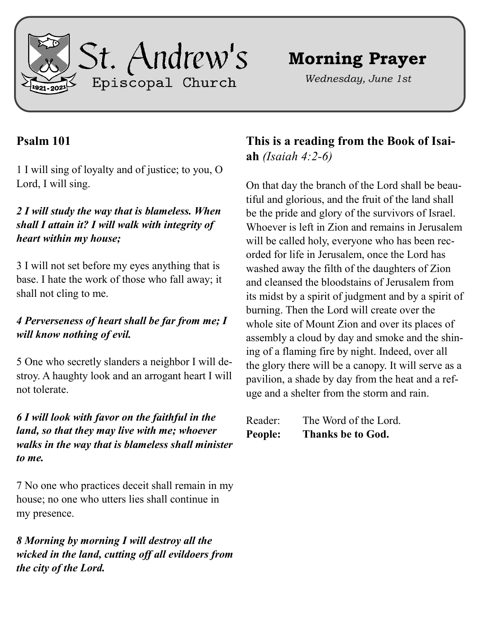

# **Morning Prayer**

*Wednesday, June 1st*

## **Psalm 101**

1 I will sing of loyalty and of justice; to you, O Lord, I will sing.

#### *2 I will study the way that is blameless. When shall I attain it? I will walk with integrity of heart within my house;*

3 I will not set before my eyes anything that is base. I hate the work of those who fall away; it shall not cling to me.

### *4 Perverseness of heart shall be far from me; I will know nothing of evil.*

5 One who secretly slanders a neighbor I will destroy. A haughty look and an arrogant heart I will not tolerate.

#### *6 I will look with favor on the faithful in the land, so that they may live with me; whoever walks in the way that is blameless shall minister to me.*

7 No one who practices deceit shall remain in my house; no one who utters lies shall continue in my presence.

*8 Morning by morning I will destroy all the wicked in the land, cutting off all evildoers from the city of the Lord.*

**This is a reading from the Book of Isaiah** *(Isaiah 4:2-6)*

On that day the branch of the Lord shall be beautiful and glorious, and the fruit of the land shall be the pride and glory of the survivors of Israel. Whoever is left in Zion and remains in Jerusalem will be called holy, everyone who has been recorded for life in Jerusalem, once the Lord has washed away the filth of the daughters of Zion and cleansed the bloodstains of Jerusalem from its midst by a spirit of judgment and by a spirit of burning. Then the Lord will create over the whole site of Mount Zion and over its places of assembly a cloud by day and smoke and the shining of a flaming fire by night. Indeed, over all the glory there will be a canopy. It will serve as a pavilion, a shade by day from the heat and a refuge and a shelter from the storm and rain.

| Reader: | The Word of the Lord.    |
|---------|--------------------------|
| People: | <b>Thanks be to God.</b> |